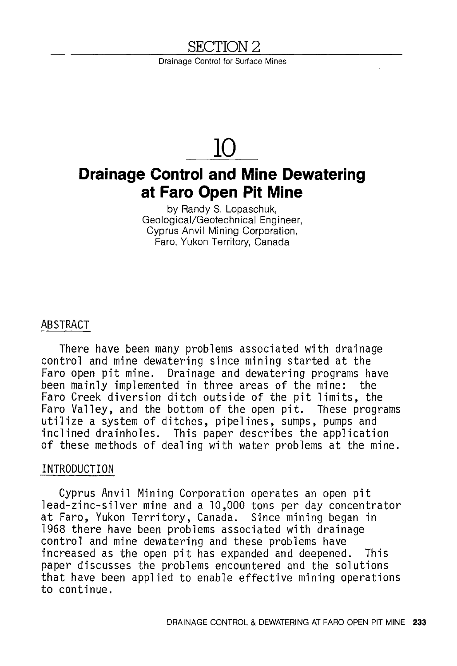# SECTION 2

Drainage Control for Surface Mines

# **10**

# **Drainage Control and Mine Dewatering at Faro Open Pit Mine**

by Randy S. Lopaschuk, Geological/Geotechnical Engineer, Cyprus Anvil Mining Corporation, Faro, Yukon Territory, Canada

#### ABSTRACT

There have been many problems associated with drainage control and mine dewatering since mining started at the Faro open pit mine. Drainage and dewatering programs have been mainly implemented in three areas of the mine: the Faro Creek diversion ditch outside of the pit limits, the Faro Valley, and the bottom of the open pit. These programs utilize a system of ditches, pipelines, sumps, pumps and inclined drainholes. This paper describes the application of these methods of dealing with water problems at the mine.

#### INTRODUCTION

Cyprus Anvil Mining Corporation operates an open pit lead-zinc-silver mine and a 10,000 tons per day concentrator at Faro, Yukon Territory, Canada. Since mining began in 1968 there have been problems associated with drainage control and mine dewatering and these problems have increased as the open pit has expanded and deepened. This paper discusses the problems encountered and the solutions that have been applied to enable effective mining operations to continue.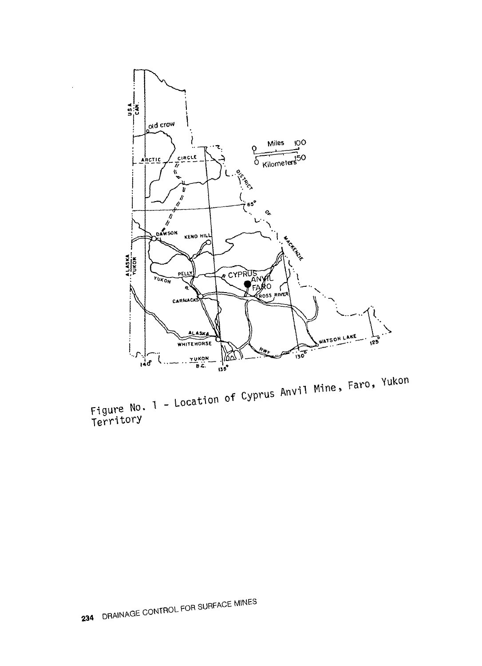

Figure No. 1 - Location of Cyprus Anvil Mine, Faro, Yukon<br>Territory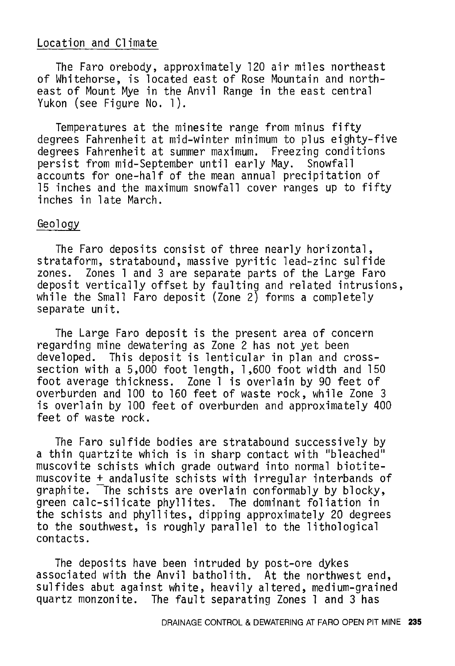# Location and Climate

The Faro orebody, approximately 120 air miles northeast of Whitehorse, is located east of Rose Mountain and northeast of Mount Mye in the Anvil Range in the east central Yukon (see Figure No. 1).

Temperatures at the minesite range from minus fifty degrees Fahrenheit at mid-winter minimum to plus eighty-five degrees Fahrenheit at summer maximum. Freezing conditions<br>persist from mid-September until early May. Snowfall persist from mid-September until early May. accounts for one-half of the mean annual precipitation of 15 inches and the maximum snowfall cover ranges up to fifty inches in late March.

#### Geology

The Faro deposits consist of three nearly horizontal, strataform, stratabound, massive pyritic lead-zinc sulfide zones. Zones 1 and 3 are separate parts of the Large Faro deposit vertically offset by faulting and related intrusions, while the Small Faro deposit (Zone  $2$ ) forms a completely separate unit.

The Large Faro deposit is the present area of concern regarding mine dewatering as Zone 2 has not yet been developed. This deposit is lenticular in plan and crosssection with a 5,000 foot length, 1 ,600 foot width and 150 foot average thickness. Zone 1 is overlain by 90 feet of overburden and 100 to 160 feet of waste rock, while Zone 3 is overlain by 100 feet of overburden and approximately 400 feet of waste rock.

The Faro sulfide bodies are stratabound successively by a thin quartzite which is in sharp contact with "bleached" muscovite schists which grade outward into normal biotitemuscovite + andalusite schists with irregular interbands of graphite. The schists are overlain conformably by blocky, green calc-silicate phyllites. The dominant foliation in the schists and phyllites, dipping approximately 20 degrees to the southwest, is roughly parallel to the lithological contacts.

The deposits have been intruded by post-ore dykes associated with the Anvil batholith. At the northwest end, sulfides abut against white, heavily altered, medium-grained quartz monzonite. The fault separating Zones 1 and 3 has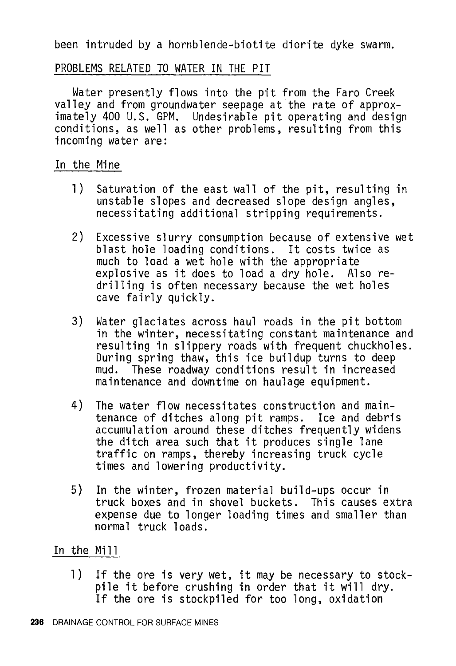been intruded by a hornblende-biotite diorite dyke swarm.

# PROBLEMS RELATED TO WATER IN THE PIT

Water presently flows into the pit from the Faro Creek valley and from groundwater seepage at the rate of approximately 400 U.S. GPM. Undesirable pit operating and design conditions, as well as other problems, resulting from this incoming water are:

# In the Mine

- **l)** Saturation of the east wall of the pit, resulting in unstable slopes and decreased slope design angles, necessitating additional stripping requirements.
- 2) Excessive slurry consumption because of extensive wet blast hole loading conditions. It costs twice as much to load a wet hole with the appropriate explosive as it does to load a dry hole. Also redrilling is often necessary because the wet holes cave fairly quickly.
- 3) Water glaciates across haul roads in the pit bottom in the winter, necessitating constant maintenance and resulting in slippery roads with frequent chuckholes.<br>During spring thaw, this ice buildup turns to deep mud. These roadway conditions result in increased maintenance and downtime on haulage equipment.
- 4) The water flow necessitates construction and maintenance of ditches along pit ramps. Ice and debris accumulation around these ditches frequently widens the ditch area such that it produces single lane traffic on ramps, thereby increasing truck cycle times and lowering productivity.
- 5) In the winter, frozen material build-ups occur in truck boxes and in shovel buckets. This causes extra expense due to longer loading times and smaller than normal truck loads.

# In the Mill

l) If the ore is very wet, it may be necessary to stockpile it before crushing in order that it will dry. If the ore is stockpiled for too long, oxidation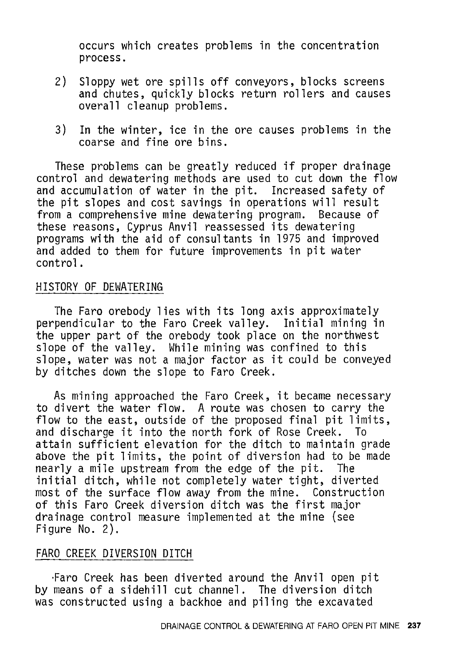occurs which creates problems in the concentration process.

- 2) Sloppy wet ore spills off conveyors, blocks screens and chutes, quickly blocks return rollers and causes overall cleanup problems.
- 3) In the winter, ice in the ore causes problems in the coarse and fine ore bins.

These problems can be greatly reduced if proper drainage control and dewatering methods are used to cut down the flow and accumulation of water in the pit. Increased safety of the pit slopes and cost savings in operations will result from a comprehensive mine dewatering program. Because of these reasons, Cyprus Anvil reassessed its dewatering programs with the aid of consultants in 1975 and improved and added to them for future improvements in pit water control.

#### HISTORY OF DEWATERING

The Faro orebody lies with its long axis approximately perpendicular to the Faro Creek valley. Initial mining in the upper part of the orebody took place on the northwest slope of the valley. While mining was confined to this slope, water was not a major factor as it could be conveyed by ditches down the slope to Faro Creek.

As mining approached the Faro Creek, it became necessary to divert the water flow. A route was chosen to carry the flow to the east, outside of the proposed final pit limits,<br>and discharge it into the north fork of Rose Creek. To and discharge it into the north fork of Rose Creek. attain sufficient elevation for the ditch to maintain grade above the pit limits, the point of diversion had to be made nearly a mile upstream from the edge of the pit. The initial ditch, while not completely water tight, diverted most of the surface flow away from the mine. Construction of this Faro Creek diversion ditch was the first major drainage control measure implemented at the mine (see Figure No. 2).

## FARO CREEK DIVERSION DITCH

·Faro Creek has been diverted around the Anvil open pit by means of a sidehill cut channel. The diversion ditch was constructed using a backhoe and piling the excavated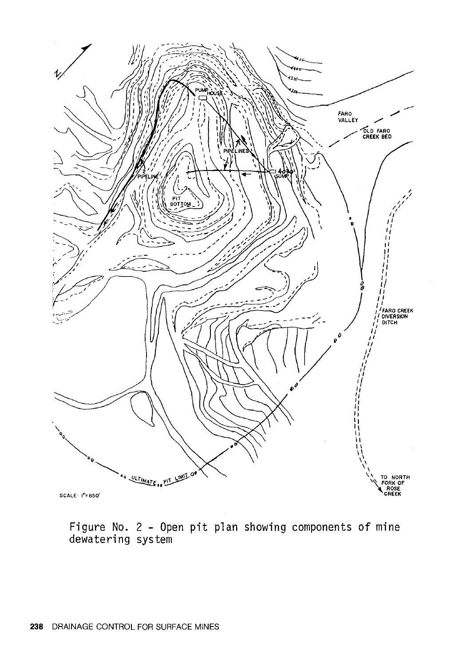

Figure No. 2 - Open pit plan showing components of mine dewatering system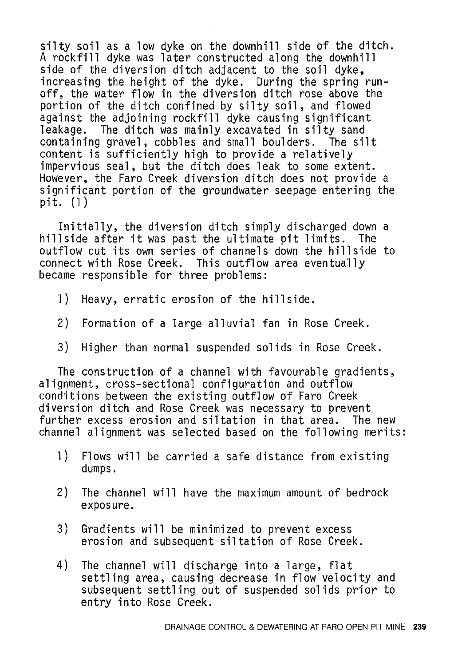silty soil as a low dyke on the downhill side of the ditch. A rockfill dyke was later constructed along the downhill side of the diversion ditch adjacent to the soil dyke, increasing the height of the dyke. During the spring runoff, the water flow in the diversion ditch rose above the portion of the ditch confined by silty soil, and flowed against the adjoining rockfill dyke causing significant The ditch was mainly excavated in silty sand containing gravel, cobbles and small boulders. The silt content is sufficiently high to provide a relatively impervious seal, but the ditch does leak to some extent. However, the Faro Creek diversion ditch does not provide a significant portion of the groundwater seepage entering the pit. (1)

Initially, the diversion ditch simply discharged down a hillside after it was past the ultimate pit limits. The outflow cut its own series of channels down the hillside to connect with Rose Creek. This outflow area eventually became responsible for three problems:

- 1) Heavy, erratic erosion of the hillside.
- 2) Formation of a large alluvial fan in Rose Creek.
- 3) Higher than normal suspended solids in Rose Creek.

The construction of a channel with favourable gradients, alignment, cross-sectional configuration and outflow conditions between the existing outflow of Faro Creek diversion ditch and Rose Creek was necessary to prevent further excess erosion and siltation in that area. channel alignment was selected based on the following merits:

- 1) Flows will be carried a safe distance from existing dumps.
- 2) The channel will have the maximum amount of bedrock exposure.
- 3) Gradients will be minimized to prevent excess erosion and subsequent siltation of Rose Creek.
- 4) The channel will discharge into a large, flat settling area, causing decrease in flow velocity and subsequent settling out of suspended solids prior to entry into Rose Creek.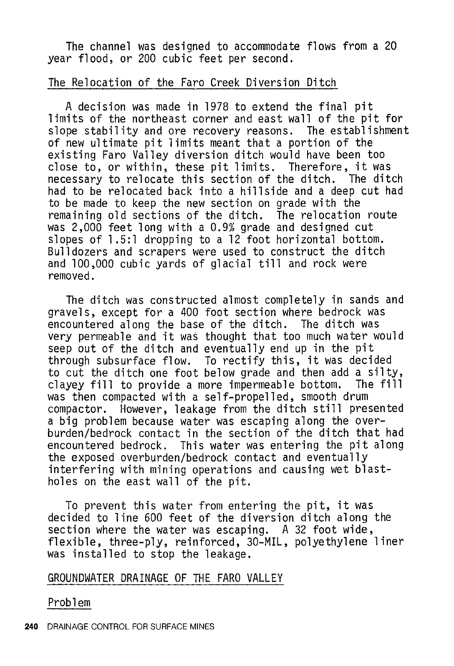The channel was designed to accommodate flows from a 20 year flood, or 200 cubic feet per second.

#### The Relocation of the Faro Creek Diversion Ditch

A decision was made in 1978 to extend the final pit limits of the northeast corner and east wall of the pit for slope stability and ore recovery reasons. The establishment of new ultimate pit limits meant that a portion of the existing Faro Valley diversion ditch would have been too close to, or within, these pit limits. Therefore, it was necessary to relocate this section of the ditch. The ditch had to be relocated back into a hillside and a deep cut had to be made to keep the new section on grade with the remaining old sections of the ditch. The relocation route was 2,000 feet long with a 0.9% grade and designed cut slopes of 1.5:1 dropping to a 12 foot horizontal bottom. Bulldozers and scrapers were used to construct the ditch and 100,000 cubic yards of glacial till and rock were removed.

The ditch was constructed almost completely in sands and gravels, except for a 400 foot section where bedrock was encountered along the base of the ditch. The ditch was very permeable and it was thought that too much water would<br>seep out of the ditch and eventually end up in the pit through subsurface flow. To rectify this, it was decided to cut the ditch one foot below grade and then add a silty, clayey fill to provide a more impermeable bottom. The fill was then compacted with a self-propelled, smooth drum compactor. However, leakage from the ditch still presented a big problem because water was escaping along the overburden/bedrock contact in the section of the ditch that had encountered bedrock. This water was entering the pit along<br>the exposed overburden/bedrock contact and eventually interfering with mining operations and causing wet blastholes on the east wall of the pit.

To prevent this water from entering the pit, it was decided to line 600 feet of the diversion ditch along the section where the water was escaping. A 32 foot wide, flexible, three-ply, reinforced, 30-MIL, polyethylene liner was installed to stop the leakage.

## GROUNDWATER DRAINAGE OF THE FARO VALLEY

Problem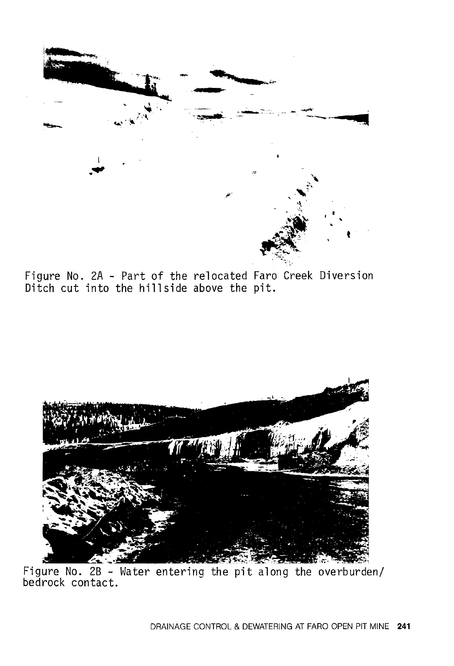

Figure No. 2A - Part of the relocated Faro Creek Diversion Ditch cut into the hillside above the pit.



Figure No. 2B - Water entering the pit along the overburden/<br>bedrock contact.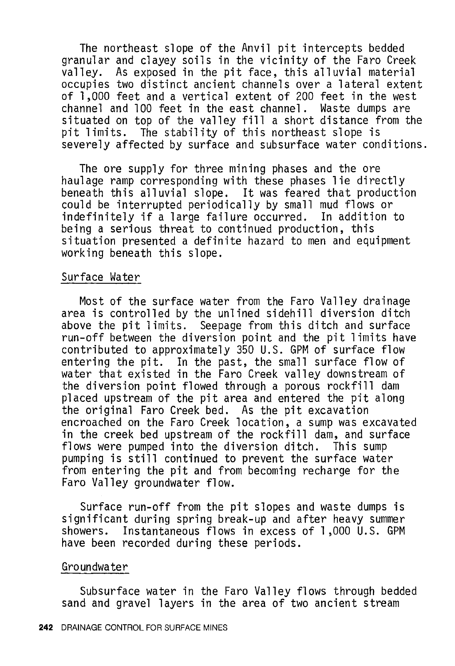The northeast slope of the Anvil pit intercepts bedded granular and clayey soils in the vicinity of the Faro Creek valley. As exposed in the pit face, this alluvial material occupies two distinct ancient channels over a lateral extent of 1,000 feet and a vertical extent of 200 feet in the west channel and 100 feet in the east channel. Waste dumps are situated on top of the valley fill a short distance from the pit limits. The stability of this northeast slope is severely affected by surface and subsurface water conditions.

The ore supply for three mining phases and the ore haulage ramp corresponding with these phases lie directly could be interrupted periodically by small mud flows or<br>indefinitely if a large failure occurred. In addition to indefinitely if a large failure occurred. being a serious threat to continued production, this situation presented a definite hazard to men and equipment working beneath this slope.

#### Surface Water

Most of the surface water from the Faro Valley drainage area is controlled by the unlined sidehill diversion ditch above the pit limits. Seepage from this ditch and surface run-off between the diversion point and the pit limits have contributed to approximately 350 U.S. GPM of surface flow entering the pit. In the past, the small surface flow of water that existed in the Faro Creek valley downstream of the diversion point flowed through a porous rockfill dam placed upstream of the pit area and entered the pit along the original Faro Creek bed. As the pit excavation encroached on the Faro Creek location, a sump was excavated in the creek bed upstream of the rockfill dam, and surface<br>flows were pumped into the diversion ditch. This sump flows were pumped into the diversion ditch. This sump pumping is still continued to prevent the surface water from entering the pit and from becoming recharge for the Faro Valley groundwater flow.

Surface run-off from the pit slopes and waste dumps is significant during spring break-up and after heavy summer showers. Instantaneous flows in excess of 1 ,000 U.S. GPM have been recorded during these periods.

#### Groundwater

Subsurface water in the Faro Valley flows through bedded sand and gravel layers in the area of two ancient stream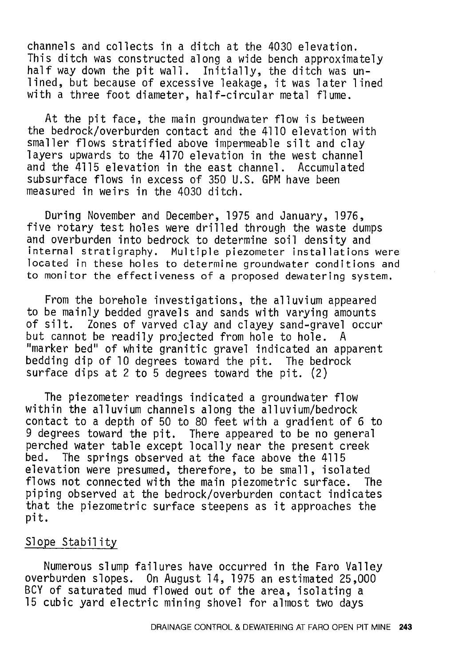channels and collects in a ditch at the 4030 elevation. This ditch was constructed along a wide bench approximately half way down the pit wall. Initially, the ditch was unlined, but because of excessive leakage, it was later lined with a three foot diameter, half-circular metal flume.

At the pit face, the main groundwater flow is between the bedrock/overburden contact and the 4110 elevation with smaller flows stratified above impermeable silt and clay layers upwards to the 4170 elevation in the west channel and the 4115 elevation in the east channel. Accumulated subsurface flows in excess of 350 U.S. GPM have been measured in weirs in the 4030 ditch.

During November and December, 1975 and January, 1976, five rotary test holes were drilled through the waste dumps and overburden into bedrock to determine soil density and internal stratigraphy. Multiple piezometer installations were located in these holes to determine groundwater conditions and to monitor the effectiveness of a proposed dewatering system.

From the borehole investigations, the alluvium appeared to be mainly bedded gravels and sands with varying amounts of silt. Zones of varved clay and clayey sand-gravel occur but cannot be readily projected from hole to hole. A "marker bed" of white granitic gravel indicated an apparent bedding dip of 10 degrees toward the pit. The bedrock surface dips at 2 to 5 degrees toward the pit. (2)

The piezometer readings indicated a groundwater flow within the alluvium channels along the alluvium/bedrock contact to a depth of 50 to 80 feet with a gradient of 6 to 9 degrees toward the pit. There appeared to be no general perched water table except locally near the present creek<br>bed. The springs observed at the face above the 4115 The springs observed at the face above the 4115 elevation were presumed, therefore, to be small, isolated<br>flows not connected with the main piezometric surface. The flows not connected with the main piezometric surface. piping observed at the bedrock/overburden contact indicates that the piezometric surface steepens as it approaches the pit.

#### Slope Stability

Numerous slump failures have occurred in the Faro Valley overburden slopes. On August 14, 1975 an estimated 25,000 BCV of saturated mud flowed out of the area, isolating a 15 cubic yard electric mining shovel for almost two days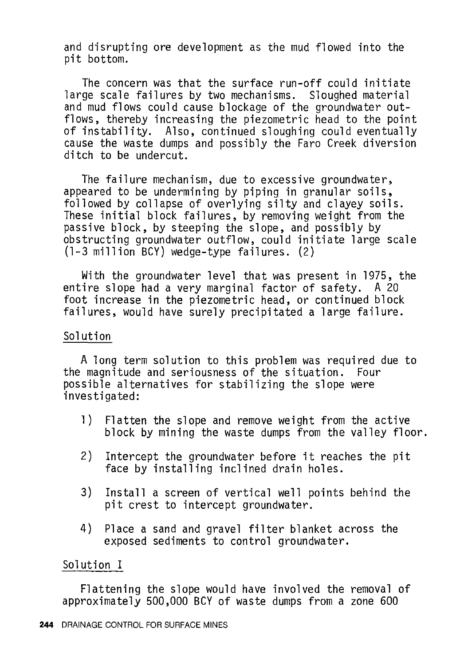and disrupting ore development as the mud flowed into the pit bottom.

The concern was that the surface run-off could initiate large scale failures by two mechanisms. Sloughed material and mud flows could cause blockage of the groundwater outflows, thereby increasing the piezometric head to the point of instability. Also, continued sloughing could eventually cause the waste dumps and possibly the Faro Creek diversion ditch to be undercut.

The failure mechanism, due to excessive groundwater, appeared to be undermining by piping in granular soils, followed by collapse of overlying silty and clayey soils. These initial block failures, by removing weight from the passive block, by steeping the slope, and possibly by obstructing groundwater outflow, could initiate large scale (1-3 million BCV) wedge-type failures. (2)

With the groundwater level that was present in 1975, the entire slope had a very marginal factor of safety. A 20 foot increase in the piezometric head, or continued block failures, would have surely precipitated a large failure.

#### Solution

A long term solution to this problem was required due to the magnitude and seriousness of the situation. Four possible alternatives for stabilizing the slope were investigated:

- 1) Flatten the slope and remove weight from the active block by mining the waste dumps from the valley floor.
- 2) Intercept the groundwater before it reaches the pit face by installing inclined drain holes.
- 3) Install a screen of vertical well points behind the pit crest to intercept groundwater.
- 4) Place a sand and gravel filter blanket across the exposed sediments to control groundwater.

## Solution I

Flattening the slope would have involved the removal of approximately 500,000 BCV of waste dumps from a zone 600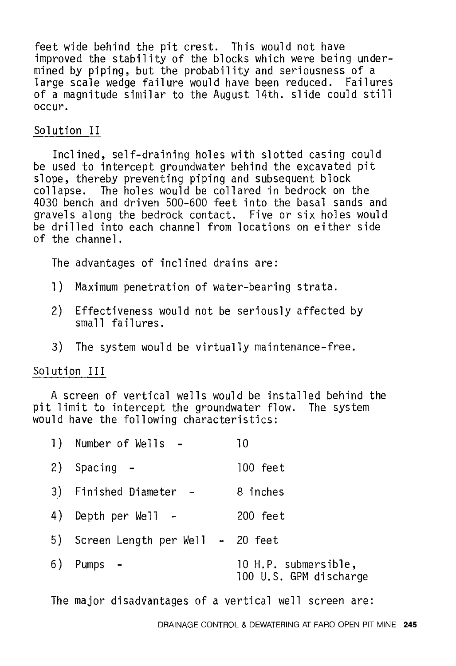feet wide behind the pit crest. This would not have improved the stability of the blocks which were being undermined by piping, but the probability and seriousness of a large scale wedge failure would have been reduced. Failures of a magnitude similar to the August 14th. slide could still occur.

# Solution II

Inclined, self-draining holes with slotted casing could be used to intercept groundwater behind the excavated pit slope, thereby preventing piping and subsequent block<br>collapse. The holes would be collared in bedrock on The holes would be collared in bedrock on the 4030 bench and driven 500-600 feet into the basal sands and gravels along the bedrock contact. Five or six holes would be drilled into each channel from locations on either side of the channel.

The advantages of inclined drains are:

- 1) Maximum penetration of water-bearing strata.
- 2) Effectiveness would not be seriously affected by sma 11 failures.
- 3) The system would be virtually maintenance-free.

# Solution III

A screen of vertical wells would be installed behind the pit limit to intercept the groundwater flow. The system would have the following characteristics:

| 1) Number of Wells -                | 10                                             |
|-------------------------------------|------------------------------------------------|
| 2) Spacing -                        | $100$ feet                                     |
| 3) Finished Diameter -              | 8 inches                                       |
| 4) Depth per Well -                 | 200 feet                                       |
| 5) Screen Length per Well - 20 feet |                                                |
| 6) Pumps –                          | 10 H.P. submersible,<br>100 U.S. GPM discharge |

The major disadvantages of a vertical well screen are: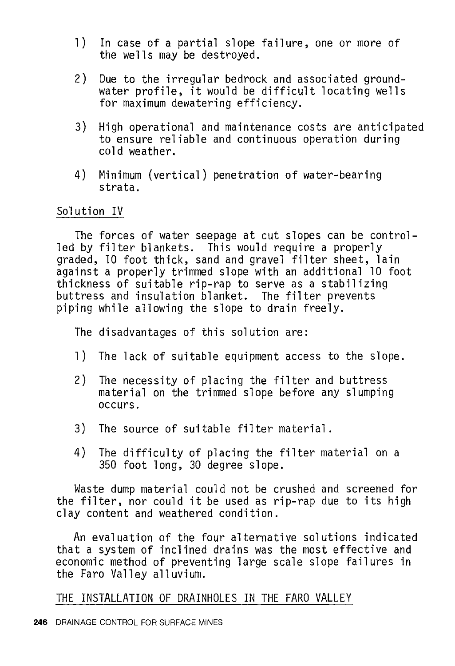- **1)** In case of a partial slope failure, one or more of the wells may be destroyed.
- 2) Due to the irregular bedrock and associated groundwater profile, it would be difficult locating wells for maximum dewatering efficiency.
- 3) High operational and maintenance costs are anticipated to ensure reliable and continuous operation during cold weather.
- 4) Minimum (vertical) penetration of water-bearing strata.

# Solution IV

The forces of water seepage at cut slopes can be controlled by filter blankets. This would require a properly graded, 10 foot thick, sand and gravel filter sheet, lain against a properly trimmed slope with an additional 10 foot thickness of suitable rip-rap to serve as a stabilizing buttress and insulation blanket. The filter prevents piping while allowing the slope to drain freely.

The disadvantages of this solution are:

- 1) The lack of suitable equipment access to the slope.
- 2) The necessity of placing the filter and buttress material on the trimmed slope before any slumping occurs.
- 3) The source of suitable filter material.
- 4) The difficulty of placing the filter material on a 350 foot long, 30 degree slope.

Waste dump material could not be crushed and screened for the filter, nor could it be used as rip-rap due to its high clay content and weathered condition.

An evaluation of the four alternative solutions indicated that a system of inclined drains was the most effective and economic method of preventing large scale slope failures in the Faro Valley alluvium.

THE INSTALLATION OF DRAINHOLES IN THE FARO VALLEY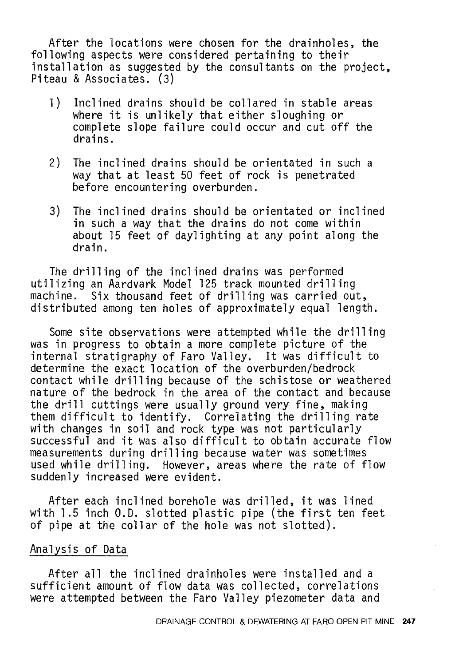After the locations were chosen for the drainholes, the following aspects were considered pertaining to their installation as suggested by the consultants on the project, Piteau & Associates. (3)

- l) Inclined drains should be collared in stable areas where it is unlikely that either sloughing or complete slope failure could occur and cut off the drains.
- 2) The inclined drains should be orientated in such a way that at least 50 feet of rock is penetrated before encountering overburden.
- 3) The inclined drains should be orientated or inclined in such a way that the drains do not come within about 15 feet of daylighting at any point along the drain.

The drilling of the inclined drains was performed utilizing an Aardvark Model 125 track mounted drilling machine. Six thousand feet of drilling was carried out, distributed among ten holes of approximately equal length.

Some site observations were attempted while the drilling was in progress to obtain a more complete picture of the internal stratigraphy of Faro Valley. It was difficult to determine the exact location of the overburden/bedrock contact while drilling because of the schistose or weathered nature of the bedrock in the area of the contact and because the drill cuttings were usually ground very fine, making them difficult to identify. Correlating the drilling rate with changes in soil and rock type was not particularly successful and it was also difficult to obtain accurate flow measurements during drilling because water was sometimes used while drilling. However, areas where the rate of flow suddenly increased were evident.

After each inclined borehole was drilled, it was lined with 1.5 inch 0.D. slotted plastic pipe (the first ten feet of pipe at the collar of the hole was not slotted).

# Analysis of Data

After all the inclined drainholes were installed and a sufficient amount of flow data was collected, correlations were attempted between the Faro Valley piezometer data and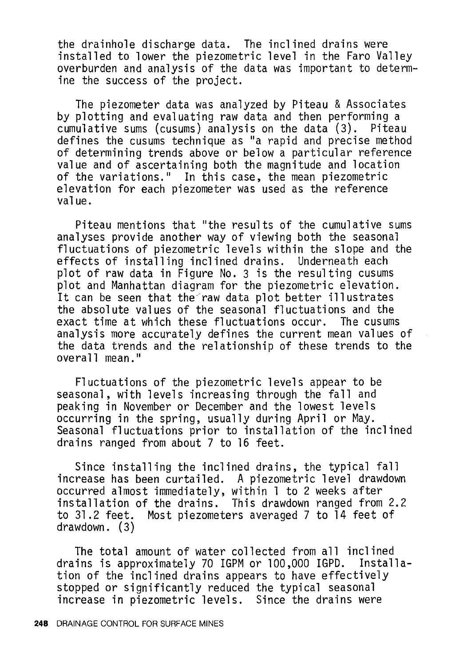the drainhole discharge data. The inclined drains were installed to lower the piezometric level in the Faro Valley overburden and analysis of the data was important to determine the success of the project.

The piezometer data was analyzed by Piteau & Associates by plotting and evaluating raw data and then performing a<br>cumulative sums (cusums) analysis on the data (3). Piteau cumulative sums (cusums) analysis on the data  $(3)$ . defines the cusums technique as "a rapid and precise method of determining trends above or below a particular reference value and of ascertaining both the magnitude and location of the variations." In this case, the mean piezometric elevation for each piezometer was used as the reference value.

Piteau mentions that "the results of the cumulative sums analyses provide another way of viewing both the seasonal fluctuations of piezometric levels within the slope and the<br>effects of installing inclined drains. Underneath each effects of installing inclined drains. plot of raw data in Figure No. 3 is the resulting cusums plot and Manhattan diagram for the piezometric elevation. It can be seen that the raw data plot better illustrates the absolute values of the seasonal fluctuations and the exact time at which these fluctuations occur. The cusums exact time at which these fluctuations occur. analysis more accurately defines the current mean values of the data trends and the relationship of these trends to the  $overal$ l mean."

Fluctuations of the piezometric levels appear to be seasonal, with levels increasing through the fall and peaking in November or December and the lowest levels occurring in the spring, usually during April or May. Seasonal fluctuations prior to installation of the inclined drains ranged from about 7 to 16 feet.

Since installing the inclined drains, the typical fall increase has been curtailed. A piezometric level drawdown occurred almost immediately, within 1 to 2 weeks after installation of the drains. This drawdown ranged from 2.2 to 31.2 feet. Most piezometers averaged 7 to 14 feet of drawdown. (3)

The total amount of water collected from all inclined<br>ins is approximately 70 IGPM or 100,000 IGPD. Installadrains is approximately 70 IGPM or 100,000 IGPD. tion of the inclined drains appears to have effectively stopped or significantly reduced the typical seasonal increase in piezometric levels. Since the drains were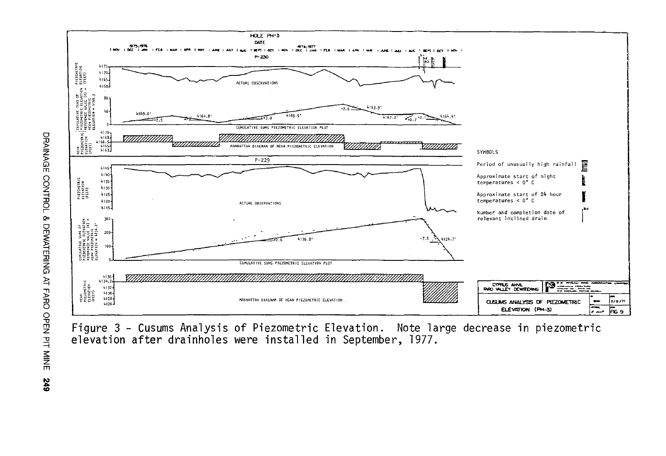

Figure 3 - Cusums Analysis of Piezometric Elevation. Note large decrease in piezometric elevation after drainholes were installed in September, 1977.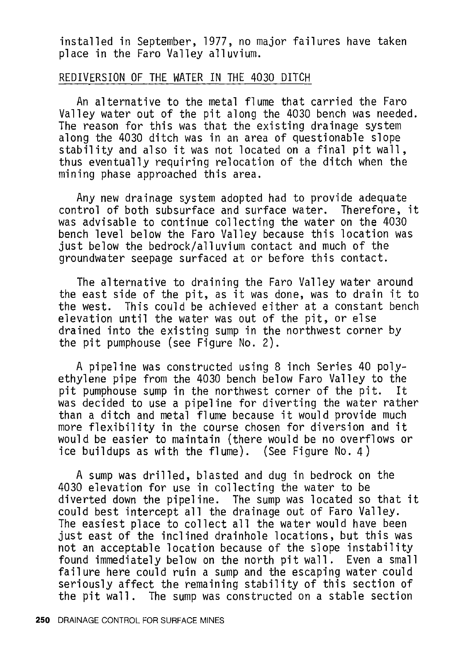installed in September, 1977, no major failures have taken place in the Faro Valley alluvium.

#### REDIVERSION OF THE WATER IN THE 4030 DITCH

An alternative to the metal flume that carried the Faro Valley water out of the pit along the 4030 bench was needed. The reason for this was that the existing drainage system along the 4030 ditch was in an area of questionable slope stability and also it was not located on a final pit wall, thus eventually requiring relocation of the ditch when the mining phase approached this area.

Any new drainage system adopted had to provide adequate control of both subsurface and surface water. Therefore, it was advisable to continue collecting the water on the 4030 bench level below the Faro Valley because this location was just below the bedrock/alluvium contact and much of the groundwater seepage surfaced at or before this contact.

The alternative to draining the Faro Valley water around the east side of the pit, as it was done, was to drain it to the west. This could be achieved either at a constant bench elevation until the water was out of the pit, or else drained into the existing sump in the northwest corner by the pit pumphouse (see Figure No. 2).

A pipeline was constructed using 8 inch Series 40 polyethylene pipe from the 4030 bench below Faro Valley to the pit pumphouse sump in the northwest corner of the pit. It was decided to use a pipeline for diverting the water rather than a ditch and metal flume because it would provide much more flexibility in the course chosen for diversion and it would be easier to maintain (there would be no overflows or ice buildups as with the flume). (See Figure No. 4)

A sump was drilled, blasted and dug in bedrock on the 4030 elevation for use in collecting the water to be diverted down the pipeline. The sump was located so that it could best intercept all the drainage out of Faro Valley. The easiest place to collect all the water would have been just east of the inclined drainhole locations, but this was not an acceptable location because of the slope instability found immediately below on the north pit wall. Even a small failure here could ruin a sump and the escaping water could seriously affect the remaining stability of this section of the pit wall. The sump was constructed on a stable section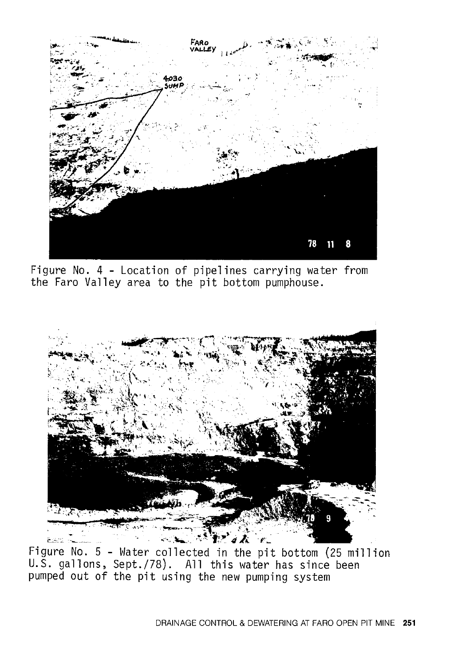

Figure No. 4 - Location of pipelines carrying water from the Faro Valley area to the pit bottom pumphouse.



Figure No. 5 - Water collected in the pit bottom (25 million U.S. gallons, Sept./78). All this water has since been pumped out of the pit using the new pumping system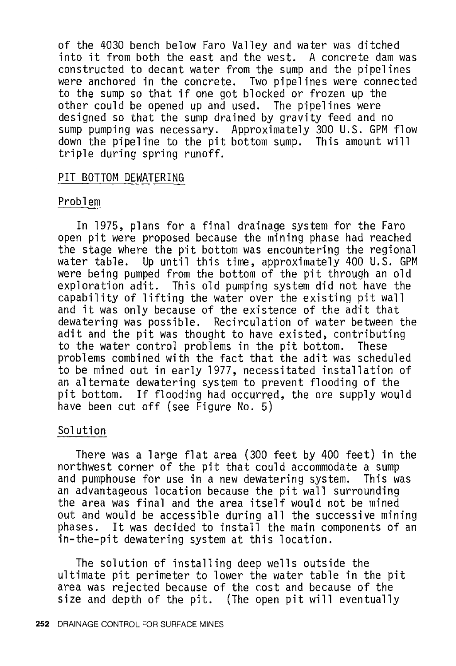of the 4030 bench below Faro Valley and water was ditched into it from both the east and the west. A concrete dam was constructed to decant water from the sump and the pipelines were anchored in the concrete. Two pipelines were connected to the sump so that if one got blocked or frozen up the other could be opened up and used. The pipelines were designed so that the sump drained by gravity feed and no sump pumping was necessary. Approximately 300 U.S. GPM flow down the pipeline to the pit bottom sump. This amount will triple during spring runoff.

#### PIT BOTTOM DEWATERING

#### Problem

In 1975, plans for a final drainage system for the Faro open pit were proposed because the mining phase had reached the stage where the pit bottom was encountering the regional<br>water table. Up until this time, approximately 400 U.S. GPM Up until this time, approximately 400 U.S. GPM were being pumped from the bottom of the pit through an old exploration adit. This old pumping system did not have the capability of lifting the water over the existing pit wall and it was only because of the existence of the adit that dewatering was possible. Recirculation of water between the adit and the pit was thought to have existed, contributing to the water control problems in the pit bottom. These problems combined with the fact that the adit was scheduled to be mined out in early 1977, necessitated installation of an alternate dewatering system to prevent flooding of the If flooding had occurred, the ore supply would have been cut off (see Figure No. 5)

#### Solution

There was a large flat area (300 feet by 400 feet) in the northwest corner of the pit that could accommodate a sump and pumphouse for use in a new dewatering system. an advantageous location because the pit wall surrounding the area was final and the area itself would not be mined out and would be accessible during all the successive mining<br>phases. It was decided to install the main components of an It was decided to install the main components of an in-the-pit dewatering system at this location.

The solution of installing deep wells outside the ultimate pit perimeter to lower the water table in the pit area was rejected because of the cost and because of the size and depth of the pit. (The open pit will eventually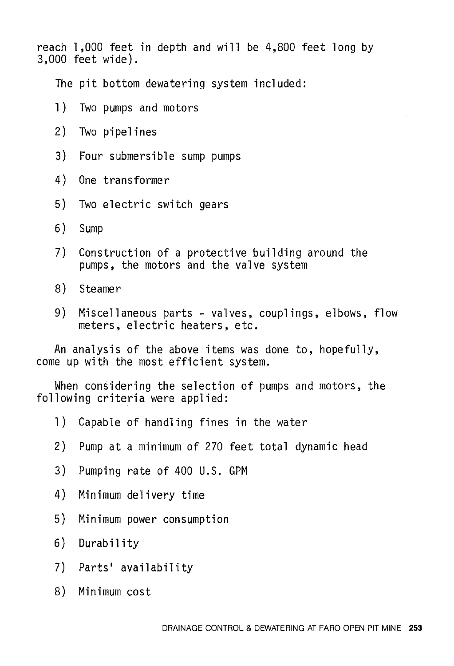reach 1,000 feet in depth and will be 4,800 feet long by 3,000 feet wide).

The pit bottom dewatering system included:

- 1) Two pumps and motors
- 2) Two pipelines
- 3) Four submersible sump pumps
- 4) One transformer
- 5) Two electric switch gears
- 6) Sump
- 7) Construction of a protective building around the pumps, the motors and the valve system
- 8) Steamer
- 9) Miscellaneous parts valves, couplings, elbows, flow meters, electric heaters, etc.

An analysis of the above items was done to, hopefully, come up with the most efficient system.

When considering the selection of pumps and motors, the following criteria were applied:

- 1) Capable of handling fines in the water
- 2) Pump at a minimum of 270 feet total dynamic head
- 3) Pumping rate of 400 U.S. GPM
- 4) Minimum delivery time
- 5) Minimum power consumption
- 6) Durability
- 7) Parts' availability
- 8) Minimum cost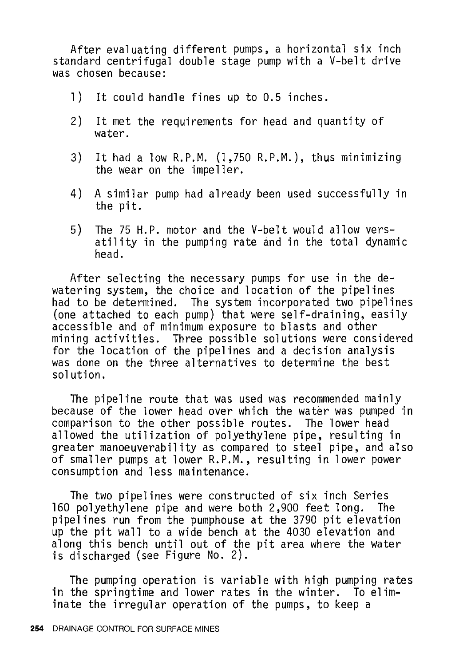After evaluating different pumps, a horizontal six inch standard centrifugal double stage pump with a V-belt drive was chosen because:

- 1) It could handle fines up to 0.5 inches.
- 2) It met the requirements for head and quantity of water.
- 3) It had a low R.P.M. (1,750 R.P.M.), thus minimizing the wear on the impeller.
- 4) A similar pump had already been used successfully in the pit.
- 5) The 75 H.P. motor and the V-belt would allow versatility in the pumping rate and in the total dynamic head.

After selecting the necessary pumps for use in the dewatering system, the choice and location of the pipelines had to be determined. The system incorporated two pipelines (one attached to each pump) that were self-draining, easily accessible and of minimum exposure to blasts and other mining activities. Three possible solutions were considered for the location of the pipelines and a decision analysis was done on the three alternatives to determine the best solution.

The pipeline route that was used was recommended mainly because of the lower head over which the water was pumped in comparison to the other possible routes. The lower head allowed the utilization of polyethylene pipe, resulting in greater manoeuverability as compared to steel pipe, and also of smaller pumps at lower R.P.M., resulting in lower power consumption and less maintenance.

The two pipelines were constructed of six inch Series 160 polyethylene pipe and were both 2,900 feet long. The pipelines run from the pumphouse at the 3790 pit elevation up the pit wall to a wide bench at the 4030 elevation and along this bench until out of the pit area where the water is discharged (see Figure No. 2).

The pumping operation is variable with high pumping rates in the springtime and lower rates in the winter. To eliminate the irregular operation of the pumps, to keep a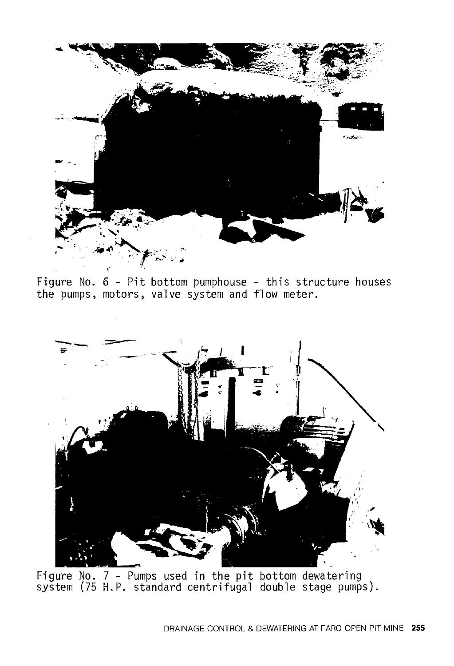

Figure No. 6 - Pit bottom pumphouse - this structure houses the pumps, motors, valve system and flow meter.



Figure No. 7 - Pumps used in the pit bottom dewatering system (75 H.P. standard centrifugal double stage pumps).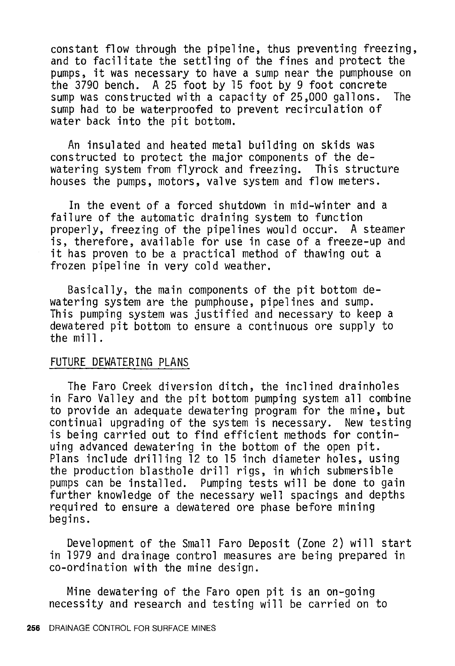constant flow through the pipeline, thus preventing freezing, and to facilitate the settling of the fines and protect the pumps, it was necessary to have a sump near the pumphouse on the 3790 bench. A 25 foot by 15 foot by 9 foot concrete sump was constructed with a capacity of 25,000 gallons. The sump had to be waterproofed to prevent recirculation of water back into the pit bottom.

An insulated and heated metal building on skids was constructed to protect the major components of the dewatering system from flyrock and freezing. This structure houses the pumps, motors, valve system and flow meters.

In the event of a forced shutdown in mid-winter and a failure of the automatic draining system to function properly, freezing of the pipelines would occur. A steamer is, therefore, available for use in case of a freeze-up and it has proven to be a practical method of thawing out a frozen pipeline in very cold weather.

Basically, the main components of the pit bottom dewatering system are the pumphouse, pipelines and sump. This pumping system was justified and necessary to keep a dewatered pit bottom to ensure a continuous ore supply to the mill.

# FUTURE DEWATERING PLANS

The Faro Creek diversion ditch, the inclined drainholes in Faro Valley and the pit bottom pumping system all combine to provide an adequate dewatering program for the mine, but continual upgrading of the system is necessary. New testing is being carried out to find efficient methods for continuing advanced dewatering in the bottom of the open pit. Plans include drilling 12 to 15 inch diameter holes, using the production blasthole drill rigs, in which submersible pumps can be installed. Pumping tests will be done to gain further knowledge of the necessary well spacings and depths required to ensure a dewatered ore phase before mining begins.

Development of the Small Faro Deposit (Zone 2) will start in 1979 and drainage control measures are being prepared in co-ordination with the mine design.

Mine dewatering of the Faro open pit is an on-going necessity and research and testing will be carried on to